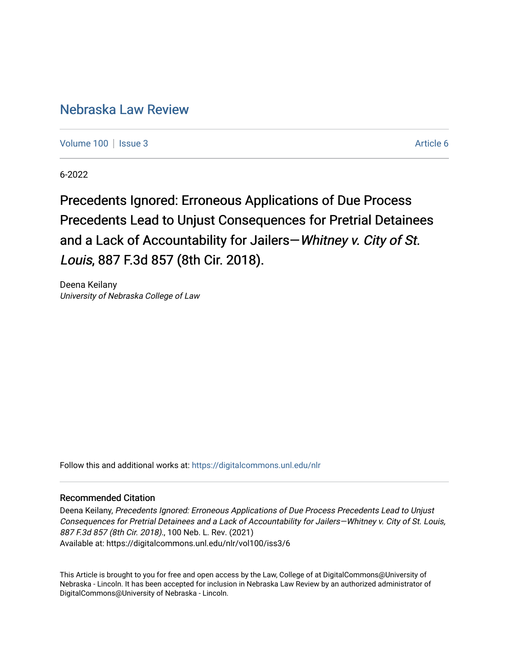# [Nebraska Law Review](https://digitalcommons.unl.edu/nlr)

[Volume 100](https://digitalcommons.unl.edu/nlr/vol100) | [Issue 3](https://digitalcommons.unl.edu/nlr/vol100/iss3) Article 6

6-2022

Precedents Ignored: Erroneous Applications of Due Process Precedents Lead to Unjust Consequences for Pretrial Detainees and a Lack of Accountability for Jailers—Whitney v. City of St. Louis, 887 F.3d 857 (8th Cir. 2018).

Deena Keilany University of Nebraska College of Law

Follow this and additional works at: [https://digitalcommons.unl.edu/nlr](https://digitalcommons.unl.edu/nlr?utm_source=digitalcommons.unl.edu%2Fnlr%2Fvol100%2Fiss3%2F6&utm_medium=PDF&utm_campaign=PDFCoverPages) 

# Recommended Citation

Deena Keilany, Precedents Ignored: Erroneous Applications of Due Process Precedents Lead to Unjust Consequences for Pretrial Detainees and a Lack of Accountability for Jailers—Whitney v. City of St. Louis, 887 F.3d 857 (8th Cir. 2018)., 100 Neb. L. Rev. (2021) Available at: https://digitalcommons.unl.edu/nlr/vol100/iss3/6

This Article is brought to you for free and open access by the Law, College of at DigitalCommons@University of Nebraska - Lincoln. It has been accepted for inclusion in Nebraska Law Review by an authorized administrator of DigitalCommons@University of Nebraska - Lincoln.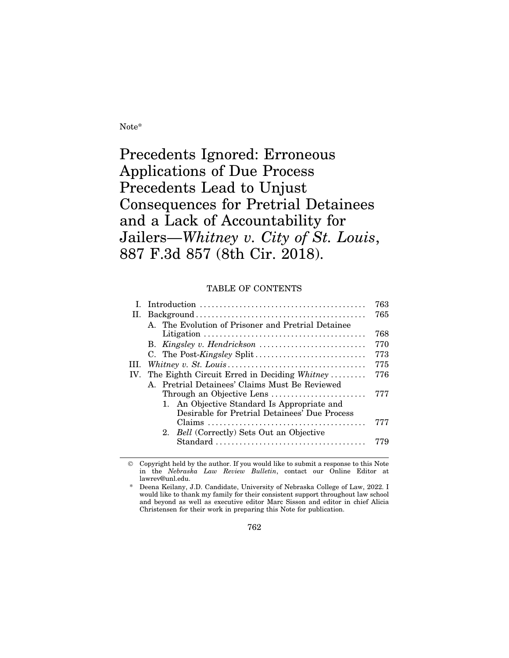Note\*

Precedents Ignored: Erroneous Applications of Due Process Precedents Lead to Unjust Consequences for Pretrial Detainees and a Lack of Accountability for Jailers—*Whitney v. City of St. Louis*, 887 F.3d 857 (8th Cir. 2018).

# TABLE OF CONTENTS

|     |                                                                                              | 763 |
|-----|----------------------------------------------------------------------------------------------|-----|
| П.  |                                                                                              | 765 |
|     | A. The Evolution of Prisoner and Pretrial Detainee                                           | 768 |
|     | B. Kingsley v. Hendrickson                                                                   | 770 |
|     | C. The Post-Kingsley Split                                                                   | 773 |
| Ш.  |                                                                                              | 775 |
| IV. | The Eighth Circuit Erred in Deciding Whitney                                                 | 776 |
|     | A. Pretrial Detainees' Claims Must Be Reviewed                                               |     |
|     | Through an Objective Lens                                                                    | 777 |
|     | 1. An Objective Standard Is Appropriate and<br>Desirable for Pretrial Detainees' Due Process |     |
|     |                                                                                              | 777 |
|     | 2. <i>Bell</i> (Correctly) Sets Out an Objective                                             |     |
|     |                                                                                              | 779 |
|     |                                                                                              |     |

 Copyright held by the author. If you would like to submit a response to this Note in the *Nebraska Law Review Bulletin*, contact our Online Editor at lawrev@unl.edu.

Deena Keilany, J.D. Candidate, University of Nebraska College of Law, 2022. I would like to thank my family for their consistent support throughout law school and beyond as well as executive editor Marc Sisson and editor in chief Alicia Christensen for their work in preparing this Note for publication.

762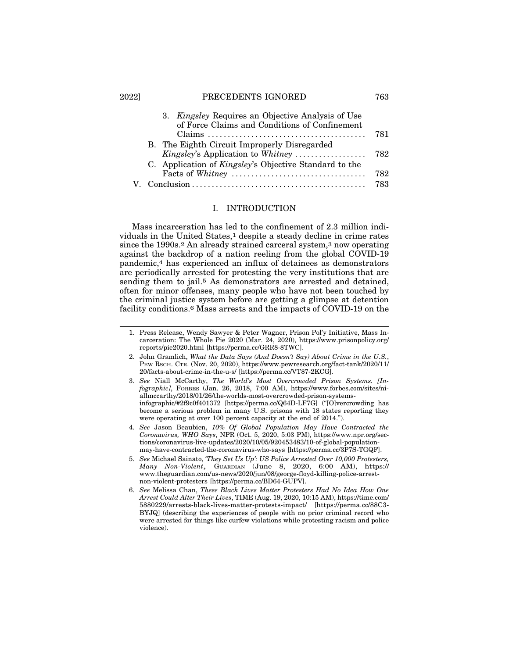#### 2022] PRECEDENTS IGNORED 763

|  | 3. <i>Kingsley</i> Requires an Objective Analysis of Use<br>of Force Claims and Conditions of Confinement |     |
|--|-----------------------------------------------------------------------------------------------------------|-----|
|  |                                                                                                           | 781 |
|  | B. The Eighth Circuit Improperly Disregarded                                                              |     |
|  | Kingsley's Application to Whitney                                                                         | 782 |
|  | C. Application of <i>Kingsley's</i> Objective Standard to the                                             |     |
|  |                                                                                                           | 782 |
|  |                                                                                                           | 783 |

#### I. INTRODUCTION

Mass incarceration has led to the confinement of 2.3 million individuals in the United States,<sup>1</sup> despite a steady decline in crime rates since the 1990s.2 An already strained carceral system,3 now operating against the backdrop of a nation reeling from the global COVID-19 pandemic,4 has experienced an influx of detainees as demonstrators are periodically arrested for protesting the very institutions that are sending them to jail.<sup>5</sup> As demonstrators are arrested and detained, often for minor offenses, many people who have not been touched by the criminal justice system before are getting a glimpse at detention facility conditions.6 Mass arrests and the impacts of COVID-19 on the

<sup>1.</sup> Press Release, Wendy Sawyer & Peter Wagner, Prison Pol'y Initiative, Mass Incarceration: The Whole Pie 2020 (Mar. 24, 2020), https://www.prisonpolicy.org/ reports/pie2020.html [https://perma.cc/GRR8-8TWC].

<sup>2.</sup> John Gramlich, *What the Data Says (And Doesn't Say) About Crime in the U.S.*, PEW RSCH. CTR. (Nov. 20, 2020), https://www.pewresearch.org/fact-tank/2020/11/ 20/facts-about-crime-in-the-u-s/ [https://perma.cc/VT87-2KCG].

<sup>3.</sup> *See* Niall McCarthy, *The World's Most Overcrowded Prison Systems. [Infographic]*, FORBES (Jan. 26, 2018, 7:00 AM), https://www.forbes.com/sites/niallmccarthy/2018/01/26/the-worlds-most-overcrowded-prison-systemsinfographic/#2f9c0f401372 [https://perma.cc/Q64D-LF7G] ("[O]vercrowding has become a serious problem in many U.S. prisons with 18 states reporting they were operating at over 100 percent capacity at the end of 2014.").

<sup>4.</sup> *See* Jason Beaubien, *10% Of Global Population May Have Contracted the Coronavirus, WHO Says*, NPR (Oct. 5, 2020, 5:03 PM), https://www.npr.org/sections/coronavirus-live-updates/2020/10/05/920453483/10-of-global-populationmay-have-contracted-the-coronavirus-who-says [https://perma.cc/3P7S-TGQF].

<sup>5.</sup> *See* Michael Sainato, *'They Set Us Up': US Police Arrested Over 10,000 Protesters, Many Non-Violent*, GUARDIAN (June 8, 2020, 6:00 AM), https:// www.theguardian.com/us-news/2020/jun/08/george-floyd-killing-police-arrestnon-violent-protesters [https://perma.cc/BD64-GUPV].

<sup>6.</sup> *See* Melissa Chan, *These Black Lives Matter Protesters Had No Idea How One Arrest Could Alter Their Lives*, TIME (Aug. 19, 2020, 10:15 AM), https://time.com/ 5880229/arrests-black-lives-matter-protests-impact/ [https://perma.cc/88C3- BYJQ] (describing the experiences of people with no prior criminal record who were arrested for things like curfew violations while protesting racism and police violence).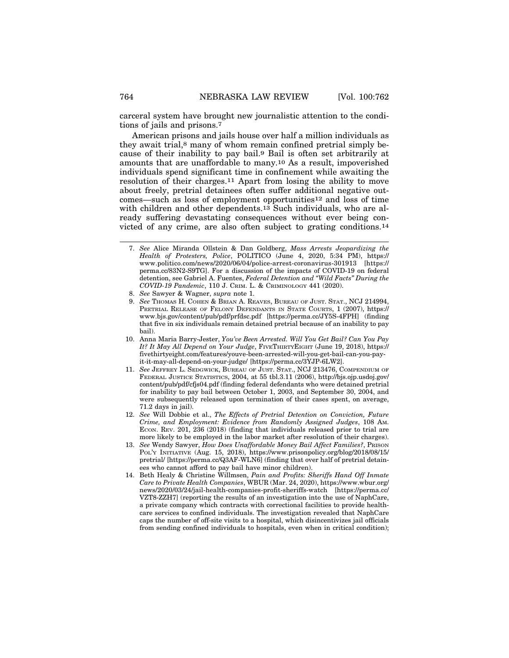carceral system have brought new journalistic attention to the conditions of jails and prisons.7

American prisons and jails house over half a million individuals as they await trial,8 many of whom remain confined pretrial simply because of their inability to pay bail.9 Bail is often set arbitrarily at amounts that are unaffordable to many.10 As a result, impoverished individuals spend significant time in confinement while awaiting the resolution of their charges.11 Apart from losing the ability to move about freely, pretrial detainees often suffer additional negative outcomes—such as loss of employment opportunities12 and loss of time with children and other dependents.<sup>13</sup> Such individuals, who are already suffering devastating consequences without ever being convicted of any crime, are also often subject to grating conditions.14

- 10. Anna Maria Barry-Jester, *You've Been Arrested. Will You Get Bail? Can You Pay It? It May All Depend on Your Judge*, FIVETHIRTYEIGHT (June 19, 2018), https:// fivethirtyeight.com/features/youve-been-arrested-will-you-get-bail-can-you-payit-it-may-all-depend-on-your-judge/ [https://perma.cc/3YJP-6LW2].
- 11. *See* JEFFREY L. SEDGWICK, BUREAU OF JUST. STAT., NCJ 213476, COMPENDIUM OF FEDERAL JUSTICE STATISTICS, 2004, at 55 tbl.3.11 (2006), http://bjs.ojp.usdoj.gov/ content/pub/pdf/cfjs04.pdf (finding federal defendants who were detained pretrial for inability to pay bail between October 1, 2003, and September 30, 2004, and were subsequently released upon termination of their cases spent, on average, 71.2 days in jail).
- 12. *See* Will Dobbie et al., *The Effects of Pretrial Detention on Conviction, Future Crime, and Employment: Evidence from Randomly Assigned Judges*, 108 AM. ECON. REV. 201, 236 (2018) (finding that individuals released prior to trial are more likely to be employed in the labor market after resolution of their charges).
- 13. *See* Wendy Sawyer, *How Does Unaffordable Money Bail Affect Families?*, PRISON POL'Y INITIATIVE (Aug. 15, 2018), https://www.prisonpolicy.org/blog/2018/08/15/ pretrial/ [https://perma.cc/Q3AF-WLN6] (finding that over half of pretrial detainees who cannot afford to pay bail have minor children).
- 14. Beth Healy & Christine Willmsen, *Pain and Profits: Sheriffs Hand Off Inmate Care to Private Health Companies*, WBUR (Mar. 24, 2020), https://www.wbur.org/ news/2020/03/24/jail-health-companies-profit-sheriffs-watch [https://perma.cc/ VZT8-ZZH7] (reporting the results of an investigation into the use of NaphCare, a private company which contracts with correctional facilities to provide healthcare services to confined individuals. The investigation revealed that NaphCare caps the number of off-site visits to a hospital, which disincentivizes jail officials from sending confined individuals to hospitals, even when in critical condition);

<sup>7.</sup> *See* Alice Miranda Ollstein & Dan Goldberg, *Mass Arrests Jeopardizing the Health of Protesters, Police*, POLITICO (June 4, 2020, 5:34 PM), https:// www.politico.com/news/2020/06/04/police-arrest-coronavirus-301913 [https:// perma.cc/83N2-S9TG]. For a discussion of the impacts of COVID-19 on federal detention, see Gabriel A. Fuentes, *Federal Detention and "Wild Facts" During the COVID-19 Pandemic*, 110 J. CRIM. L. & CRIMINOLOGY 441 (2020).

<sup>8.</sup> *See* Sawyer & Wagner, *supra* note 1.

<sup>9.</sup> See Thomas H. COHEN & BRIAN A. REAVES, BUREAU OF JUST. STAT., NCJ 214994, PRETRIAL RELEASE OF FELONY DEFENDANTS IN STATE COURTS, 1 (2007), https:// www.bjs.gov/content/pub/pdf/prfdsc.pdf [https://perma.cc/JY5S-4FPH] (finding that five in six individuals remain detained pretrial because of an inability to pay bail).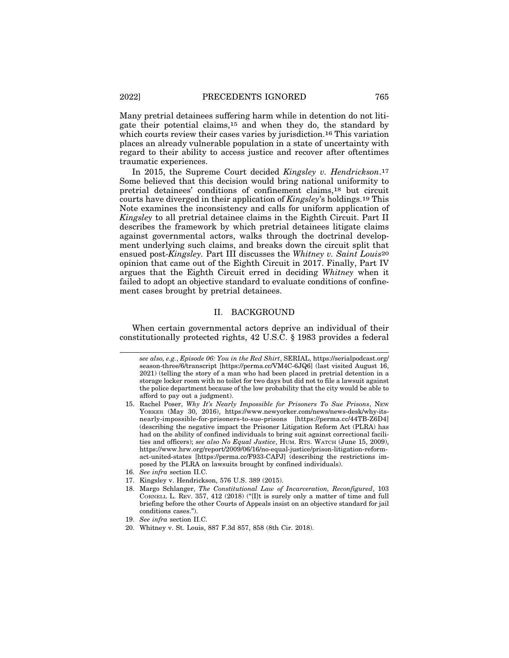Many pretrial detainees suffering harm while in detention do not litigate their potential claims,15 and when they do, the standard by which courts review their cases varies by jurisdiction.<sup>16</sup> This variation places an already vulnerable population in a state of uncertainty with regard to their ability to access justice and recover after oftentimes traumatic experiences.

In 2015, the Supreme Court decided *Kingsley v. Hendrickson*.17 Some believed that this decision would bring national uniformity to pretrial detainees' conditions of confinement claims,18 but circuit courts have diverged in their application of *Kingsley*'s holdings.19 This Note examines the inconsistency and calls for uniform application of *Kingsley* to all pretrial detainee claims in the Eighth Circuit. Part II describes the framework by which pretrial detainees litigate claims against governmental actors, walks through the doctrinal development underlying such claims, and breaks down the circuit split that ensued post-*Kingsley.* Part III discusses the *Whitney v. Saint Louis*20 opinion that came out of the Eighth Circuit in 2017. Finally, Part IV argues that the Eighth Circuit erred in deciding *Whitney* when it failed to adopt an objective standard to evaluate conditions of confinement cases brought by pretrial detainees.

## II. BACKGROUND

When certain governmental actors deprive an individual of their constitutionally protected rights, 42 U.S.C. § 1983 provides a federal

- 16. *See infra* section II.C.
- 17. Kingsley v. Hendrickson, 576 U.S. 389 (2015).
- 18. Margo Schlanger, *The Constitutional Law of Incarceration, Reconfigured*, 103 CORNELL L. REV. 357, 412 (2018) ("[I]t is surely only a matter of time and full briefing before the other Courts of Appeals insist on an objective standard for jail conditions cases.").
- 19. *See infra* section II.C.
- 20. Whitney v. St. Louis, 887 F.3d 857, 858 (8th Cir. 2018).

*see also, e.g.*, *Episode 06: You in the Red Shirt*, SERIAL, https://serialpodcast.org/ season-three/6/transcript [https://perma.cc/VM4C-6JQ6] (last visited August 16, 2021) (telling the story of a man who had been placed in pretrial detention in a storage locker room with no toilet for two days but did not to file a lawsuit against the police department because of the low probability that the city would be able to afford to pay out a judgment).

<sup>15.</sup> Rachel Poser, *Why It's Nearly Impossible for Prisoners To Sue Prisons*, NEW YORKER (May 30, 2016), https://www.newyorker.com/news/news-desk/why-itsnearly-impossible-for-prisoners-to-sue-prisons [https://perma.cc/44TB-Z6D4] (describing the negative impact the Prisoner Litigation Reform Act (PLRA) has had on the ability of confined individuals to bring suit against correctional facilities and officers); *see also No Equal Justice*, HUM. RTS. WATCH (June 15, 2009), https://www.hrw.org/report/2009/06/16/no-equal-justice/prison-litigation-reformact-united-states [https://perma.cc/F933-CAPJ] (describing the restrictions imposed by the PLRA on lawsuits brought by confined individuals).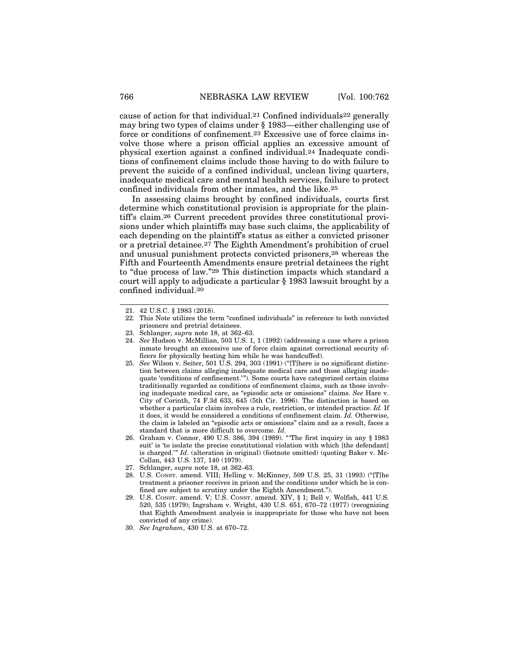cause of action for that individual.<sup>21</sup> Confined individuals<sup>22</sup> generally may bring two types of claims under § 1983—either challenging use of force or conditions of confinement.23 Excessive use of force claims involve those where a prison official applies an excessive amount of physical exertion against a confined individual.24 Inadequate conditions of confinement claims include those having to do with failure to prevent the suicide of a confined individual, unclean living quarters, inadequate medical care and mental health services, failure to protect confined individuals from other inmates, and the like.25

In assessing claims brought by confined individuals, courts first determine which constitutional provision is appropriate for the plaintiff's claim.26 Current precedent provides three constitutional provisions under which plaintiffs may base such claims, the applicability of each depending on the plaintiff's status as either a convicted prisoner or a pretrial detainee.27 The Eighth Amendment's prohibition of cruel and unusual punishment protects convicted prisoners,28 whereas the Fifth and Fourteenth Amendments ensure pretrial detainees the right to "due process of law."29 This distinction impacts which standard a court will apply to adjudicate a particular § 1983 lawsuit brought by a confined individual.30

- 24. *See* Hudson v. McMillian, 503 U.S. 1, 1 (1992) (addressing a case where a prison inmate brought an excessive use of force claim against correctional security officers for physically beating him while he was handcuffed).
- 25. *See* Wilson v. Seiter, 501 U.S. 294, 303 (1991) ("[T]here is no significant distinction between claims alleging inadequate medical care and those alleging inadequate 'conditions of confinement.'"). Some courts have categorized certain claims traditionally regarded as conditions of confinement claims, such as those involving inadequate medical care, as "episodic acts or omissions" claims. *See* Hare v. City of Corinth, 74 F.3d 633, 645 (5th Cir. 1996). The distinction is based on whether a particular claim involves a rule, restriction, or intended practice. *Id.* If it does, it would be considered a conditions of confinement claim. *Id.* Otherwise, the claim is labeled an "episodic acts or omissions" claim and as a result, faces a standard that is more difficult to overcome. *Id.*
- 26. Graham v. Connor, 490 U.S. 386, 394 (1989). "'The first inquiry in any § 1983 suit' is 'to isolate the precise constitutional violation with which [the defendant] is charged.'" *Id*. (alteration in original) (footnote omitted) (quoting Baker v. Mc-Collan, 443 U.S. 137, 140 (1979).
- 27. Schlanger, *supra* note 18, at 362–63.
- 28. U.S. CONST. amend. VIII; Helling v. McKinney, 509 U.S. 25, 31 (1993) ("[T]he treatment a prisoner receives in prison and the conditions under which he is confined are subject to scrutiny under the Eighth Amendment.").
- 29. U.S. CONST. amend. V; U.S. CONST. amend. XIV, § 1; Bell v. Wolfish, 441 U.S. 520, 535 (1979); Ingraham v. Wright, 430 U.S. 651, 670–72 (1977) (recognizing that Eighth Amendment analysis is inappropriate for those who have not been convicted of any crime).
- 30. *See Ingraham*, 430 U.S. at 670–72.

<sup>21. 42</sup> U.S.C. § 1983 (2018).

<sup>22.</sup> This Note utilizes the term "confined individuals" in reference to both convicted prisoners and pretrial detainees.

<sup>23.</sup> Schlanger, *supra* note 18, at 362–63.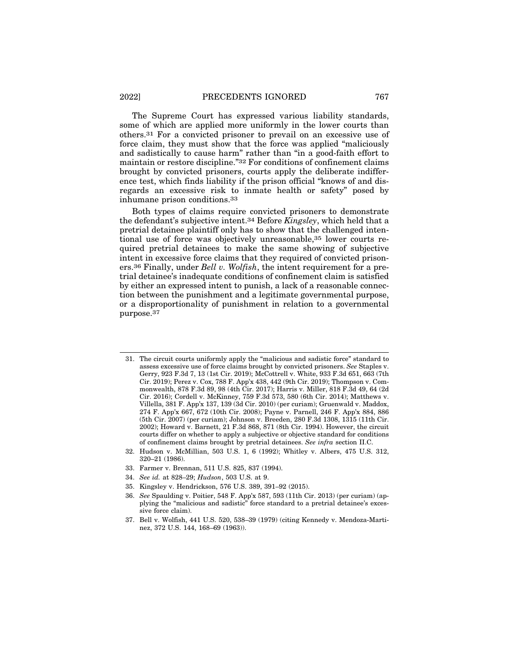The Supreme Court has expressed various liability standards, some of which are applied more uniformly in the lower courts than others.31 For a convicted prisoner to prevail on an excessive use of force claim, they must show that the force was applied "maliciously and sadistically to cause harm" rather than "in a good-faith effort to maintain or restore discipline."32 For conditions of confinement claims brought by convicted prisoners, courts apply the deliberate indifference test, which finds liability if the prison official "knows of and disregards an excessive risk to inmate health or safety" posed by inhumane prison conditions.33

Both types of claims require convicted prisoners to demonstrate the defendant's subjective intent.34 Before *Kingsley*, which held that a pretrial detainee plaintiff only has to show that the challenged intentional use of force was objectively unreasonable,35 lower courts required pretrial detainees to make the same showing of subjective intent in excessive force claims that they required of convicted prisoners.36 Finally, under *Bell v. Wolfish*, the intent requirement for a pretrial detainee's inadequate conditions of confinement claim is satisfied by either an expressed intent to punish, a lack of a reasonable connection between the punishment and a legitimate governmental purpose, or a disproportionality of punishment in relation to a governmental purpose.37

- 31. The circuit courts uniformly apply the "malicious and sadistic force" standard to assess excessive use of force claims brought by convicted prisoners. *See* Staples v. Gerry, 923 F.3d 7, 13 (1st Cir. 2019); McCottrell v. White, 933 F.3d 651, 663 (7th Cir. 2019); Perez v. Cox, 788 F. App'x 438, 442 (9th Cir. 2019); Thompson v. Commonwealth, 878 F.3d 89, 98 (4th Cir. 2017); Harris v. Miller, 818 F.3d 49, 64 (2d Cir. 2016); Cordell v. McKinney, 759 F.3d 573, 580 (6th Cir. 2014); Matthews v. Villella, 381 F. App'x 137, 139 (3d Cir. 2010) (per curiam); Gruenwald v. Maddox, 274 F. App'x 667, 672 (10th Cir. 2008); Payne v. Parnell, 246 F. App'x 884, 886 (5th Cir. 2007) (per curiam); Johnson v. Breeden, 280 F.3d 1308, 1315 (11th Cir. 2002); Howard v. Barnett, 21 F.3d 868, 871 (8th Cir. 1994). However, the circuit courts differ on whether to apply a subjective or objective standard for conditions of confinement claims brought by pretrial detainees. *See infra* section II.C.
- 32. Hudson v. McMillian, 503 U.S. 1, 6 (1992); Whitley v. Albers, 475 U.S. 312, 320–21 (1986).
- 33. Farmer v. Brennan, 511 U.S. 825, 837 (1994).
- 34. *See id.* at 828–29; *Hudson*, 503 U.S. at 9.
- 35. Kingsley v. Hendrickson, 576 U.S. 389, 391–92 (2015).
- 36. *See* Spaulding v. Poitier, 548 F. App'x 587, 593 (11th Cir. 2013) (per curiam) (applying the "malicious and sadistic" force standard to a pretrial detainee's excessive force claim).
- 37. Bell v. Wolfish, 441 U.S. 520, 538–39 (1979) (citing Kennedy v. Mendoza-Martinez, 372 U.S. 144, 168–69 (1963)).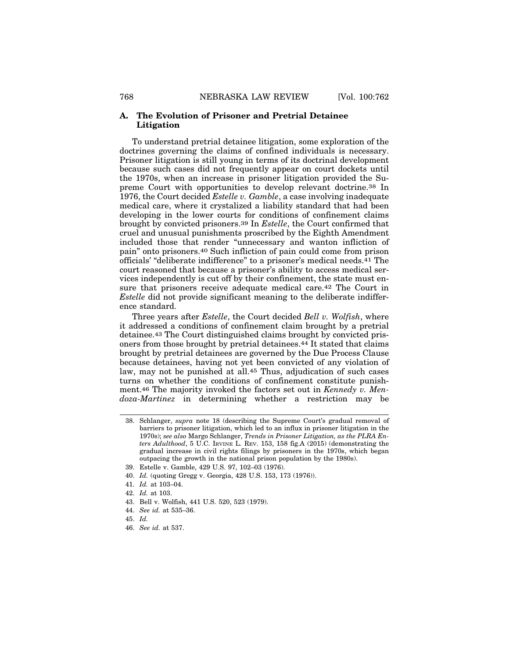#### **A. The Evolution of Prisoner and Pretrial Detainee Litigation**

To understand pretrial detainee litigation, some exploration of the doctrines governing the claims of confined individuals is necessary. Prisoner litigation is still young in terms of its doctrinal development because such cases did not frequently appear on court dockets until the 1970s, when an increase in prisoner litigation provided the Supreme Court with opportunities to develop relevant doctrine.38 In 1976, the Court decided *Estelle v. Gamble*, a case involving inadequate medical care, where it crystalized a liability standard that had been developing in the lower courts for conditions of confinement claims brought by convicted prisoners.39 In *Estelle*, the Court confirmed that cruel and unusual punishments proscribed by the Eighth Amendment included those that render "unnecessary and wanton infliction of pain" onto prisoners.40 Such infliction of pain could come from prison officials' "deliberate indifference" to a prisoner's medical needs.41 The court reasoned that because a prisoner's ability to access medical services independently is cut off by their confinement, the state must ensure that prisoners receive adequate medical care.42 The Court in *Estelle* did not provide significant meaning to the deliberate indifference standard.

Three years after *Estelle*, the Court decided *Bell v. Wolfish*, where it addressed a conditions of confinement claim brought by a pretrial detainee.43 The Court distinguished claims brought by convicted prisoners from those brought by pretrial detainees.44 It stated that claims brought by pretrial detainees are governed by the Due Process Clause because detainees, having not yet been convicted of any violation of law, may not be punished at all.45 Thus, adjudication of such cases turns on whether the conditions of confinement constitute punishment.46 The majority invoked the factors set out in *Kennedy v. Mendoza-Martinez* in determining whether a restriction may be

- 43. Bell v. Wolfish, 441 U.S. 520, 523 (1979).
- 44. *See id.* at 535–36.
- 45. *Id.*

<sup>38.</sup> Schlanger, *supra* note 18 (describing the Supreme Court's gradual removal of barriers to prisoner litigation, which led to an influx in prisoner litigation in the 1970s); *see also* Margo Schlanger, *Trends in Prisoner Litigation, as the PLRA Enters Adulthood*, 5 U.C. IRVINE L. REV. 153, 158 fig.A (2015) (demonstrating the gradual increase in civil rights filings by prisoners in the 1970s, which began outpacing the growth in the national prison population by the 1980s).

<sup>39.</sup> Estelle v. Gamble, 429 U.S. 97, 102–03 (1976).

<sup>40.</sup> *Id.* (quoting Gregg v. Georgia, 428 U.S. 153, 173 (1976)).

<sup>41.</sup> *Id.* at 103–04.

<sup>42.</sup> *Id.* at 103.

<sup>46.</sup> *See id.* at 537.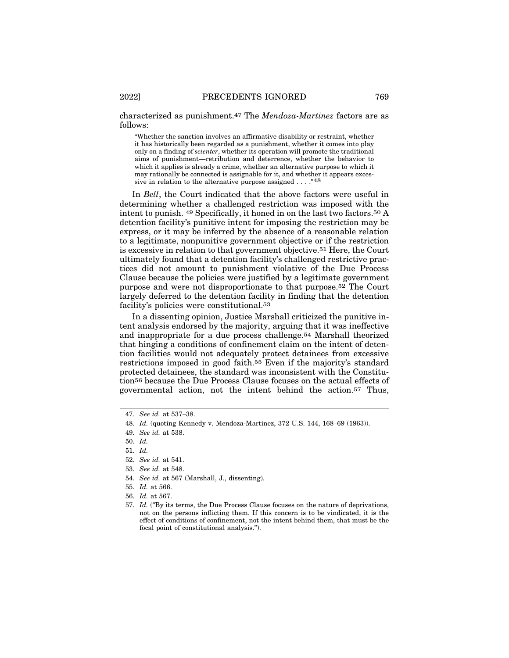characterized as punishment.47 The *Mendoza-Martinez* factors are as follows:

"Whether the sanction involves an affirmative disability or restraint, whether it has historically been regarded as a punishment, whether it comes into play only on a finding of *scienter*, whether its operation will promote the traditional aims of punishment—retribution and deterrence, whether the behavior to which it applies is already a crime, whether an alternative purpose to which it may rationally be connected is assignable for it, and whether it appears excessive in relation to the alternative purpose assigned . . . . "48

In *Bell*, the Court indicated that the above factors were useful in determining whether a challenged restriction was imposed with the intent to punish. 49 Specifically, it honed in on the last two factors.50 A detention facility's punitive intent for imposing the restriction may be express, or it may be inferred by the absence of a reasonable relation to a legitimate, nonpunitive government objective or if the restriction is excessive in relation to that government objective.51 Here, the Court ultimately found that a detention facility's challenged restrictive practices did not amount to punishment violative of the Due Process Clause because the policies were justified by a legitimate government purpose and were not disproportionate to that purpose.52 The Court largely deferred to the detention facility in finding that the detention facility's policies were constitutional.53

In a dissenting opinion, Justice Marshall criticized the punitive intent analysis endorsed by the majority, arguing that it was ineffective and inappropriate for a due process challenge.54 Marshall theorized that hinging a conditions of confinement claim on the intent of detention facilities would not adequately protect detainees from excessive restrictions imposed in good faith.55 Even if the majority's standard protected detainees, the standard was inconsistent with the Constitution56 because the Due Process Clause focuses on the actual effects of governmental action, not the intent behind the action.57 Thus,

<sup>47.</sup> *See id.* at 537–38.

<sup>48.</sup> *Id.* (quoting Kennedy v. Mendoza-Martinez, 372 U.S. 144, 168–69 (1963)).

<sup>49.</sup> *See id.* at 538.

<sup>50.</sup> *Id.*

<sup>51.</sup> *Id.*

<sup>52.</sup> *See id.* at 541.

<sup>53.</sup> *See id.* at 548.

<sup>54.</sup> *See id.* at 567 (Marshall, J., dissenting).

<sup>55.</sup> *Id.* at 566.

<sup>56.</sup> *Id.* at 567.

<sup>57.</sup> *Id.* ("By its terms, the Due Process Clause focuses on the nature of deprivations, not on the persons inflicting them. If this concern is to be vindicated, it is the effect of conditions of confinement, not the intent behind them, that must be the focal point of constitutional analysis.").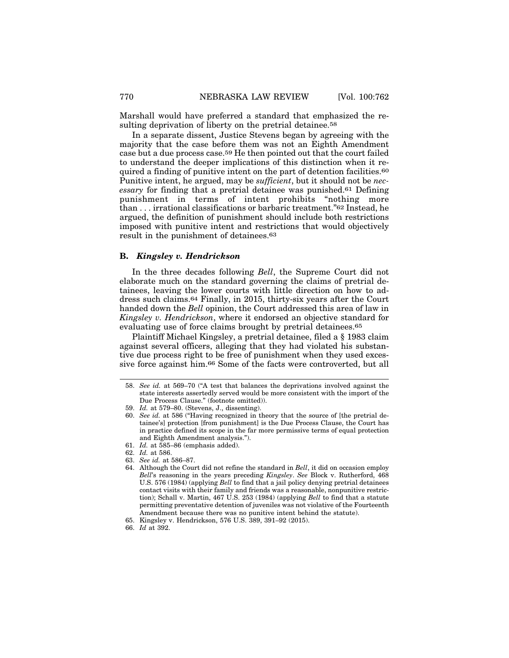Marshall would have preferred a standard that emphasized the resulting deprivation of liberty on the pretrial detainee.<sup>58</sup>

In a separate dissent, Justice Stevens began by agreeing with the majority that the case before them was not an Eighth Amendment case but a due process case.59 He then pointed out that the court failed to understand the deeper implications of this distinction when it required a finding of punitive intent on the part of detention facilities.60 Punitive intent, he argued, may be *sufficient*, but it should not be *necessary* for finding that a pretrial detainee was punished.61 Defining punishment in terms of intent prohibits "nothing more than . . . irrational classifications or barbaric treatment."62 Instead, he argued, the definition of punishment should include both restrictions imposed with punitive intent and restrictions that would objectively result in the punishment of detainees.63

#### **B.** *Kingsley v. Hendrickson*

In the three decades following *Bell*, the Supreme Court did not elaborate much on the standard governing the claims of pretrial detainees, leaving the lower courts with little direction on how to address such claims.64 Finally, in 2015, thirty-six years after the Court handed down the *Bell* opinion, the Court addressed this area of law in *Kingsley v. Hendrickson*, where it endorsed an objective standard for evaluating use of force claims brought by pretrial detainees.65

Plaintiff Michael Kingsley, a pretrial detainee, filed a § 1983 claim against several officers, alleging that they had violated his substantive due process right to be free of punishment when they used excessive force against him.66 Some of the facts were controverted, but all

<sup>58.</sup> *See id.* at 569–70 ("A test that balances the deprivations involved against the state interests assertedly served would be more consistent with the import of the Due Process Clause." (footnote omitted)).

<sup>59.</sup> *Id.* at 579–80. (Stevens, J., dissenting).

<sup>60.</sup> *See id.* at 586 ("Having recognized in theory that the source of [the pretrial detainee's] protection [from punishment] is the Due Process Clause, the Court has in practice defined its scope in the far more permissive terms of equal protection and Eighth Amendment analysis.").

<sup>61.</sup> *Id.* at 585–86 (emphasis added).

<sup>62.</sup> *Id.* at 586.

<sup>63.</sup> *See id.* at 586–87.

<sup>64.</sup> Although the Court did not refine the standard in *Bell*, it did on occasion employ *Bell*'s reasoning in the years preceding *Kingsley*. *See* Block v. Rutherford, 468 U.S. 576 (1984) (applying *Bell* to find that a jail policy denying pretrial detainees contact visits with their family and friends was a reasonable, nonpunitive restriction); Schall v. Martin, 467 U.S. 253 (1984) (applying *Bell* to find that a statute permitting preventative detention of juveniles was not violative of the Fourteenth Amendment because there was no punitive intent behind the statute).

<sup>65.</sup> Kingsley v. Hendrickson, 576 U.S. 389, 391–92 (2015).

<sup>66.</sup> *Id* at 392.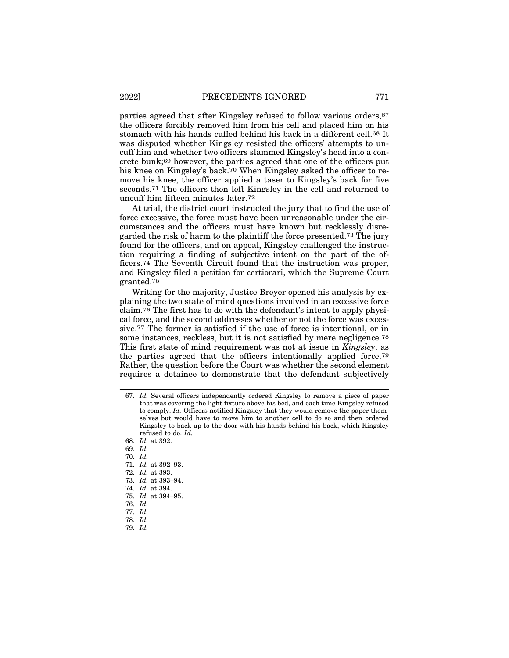parties agreed that after Kingsley refused to follow various orders,67 the officers forcibly removed him from his cell and placed him on his stomach with his hands cuffed behind his back in a different cell.68 It was disputed whether Kingsley resisted the officers' attempts to uncuff him and whether two officers slammed Kingsley's head into a concrete bunk;69 however, the parties agreed that one of the officers put his knee on Kingsley's back.<sup>70</sup> When Kingsley asked the officer to remove his knee, the officer applied a taser to Kingsley's back for five seconds.71 The officers then left Kingsley in the cell and returned to uncuff him fifteen minutes later.72

At trial, the district court instructed the jury that to find the use of force excessive, the force must have been unreasonable under the circumstances and the officers must have known but recklessly disregarded the risk of harm to the plaintiff the force presented.73 The jury found for the officers, and on appeal, Kingsley challenged the instruction requiring a finding of subjective intent on the part of the officers.74 The Seventh Circuit found that the instruction was proper, and Kingsley filed a petition for certiorari, which the Supreme Court granted.75

Writing for the majority, Justice Breyer opened his analysis by explaining the two state of mind questions involved in an excessive force claim.76 The first has to do with the defendant's intent to apply physical force, and the second addresses whether or not the force was excessive.77 The former is satisfied if the use of force is intentional, or in some instances, reckless, but it is not satisfied by mere negligence.78 This first state of mind requirement was not at issue in *Kingsley*, as the parties agreed that the officers intentionally applied force.79 Rather, the question before the Court was whether the second element requires a detainee to demonstrate that the defendant subjectively

69. *Id.*

70. *Id.*

- 71. *Id.* at 392–93.
- 72. *Id.* at 393.
- 73. *Id.* at 393–94.
- 74. *Id.* at 394.
- 75. *Id.* at 394–95.
- 76. *Id.*
- 77. *Id.*
- 78. *Id.*
- 79. *Id.*

<sup>67.</sup> *Id.* Several officers independently ordered Kingsley to remove a piece of paper that was covering the light fixture above his bed, and each time Kingsley refused to comply. *Id.* Officers notified Kingsley that they would remove the paper themselves but would have to move him to another cell to do so and then ordered Kingsley to back up to the door with his hands behind his back, which Kingsley refused to do. *Id.*

<sup>68.</sup> *Id.* at 392.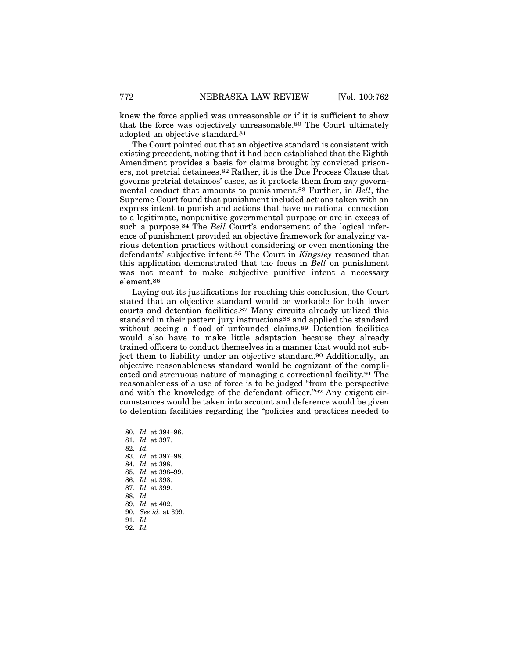knew the force applied was unreasonable or if it is sufficient to show that the force was objectively unreasonable.80 The Court ultimately adopted an objective standard.81

The Court pointed out that an objective standard is consistent with existing precedent, noting that it had been established that the Eighth Amendment provides a basis for claims brought by convicted prisoners, not pretrial detainees.82 Rather, it is the Due Process Clause that governs pretrial detainees' cases, as it protects them from *any* governmental conduct that amounts to punishment.83 Further, in *Bell*, the Supreme Court found that punishment included actions taken with an express intent to punish and actions that have no rational connection to a legitimate, nonpunitive governmental purpose or are in excess of such a purpose.84 The *Bell* Court's endorsement of the logical inference of punishment provided an objective framework for analyzing various detention practices without considering or even mentioning the defendants' subjective intent.85 The Court in *Kingsley* reasoned that this application demonstrated that the focus in *Bell* on punishment was not meant to make subjective punitive intent a necessary element.86

Laying out its justifications for reaching this conclusion, the Court stated that an objective standard would be workable for both lower courts and detention facilities.87 Many circuits already utilized this standard in their pattern jury instructions88 and applied the standard without seeing a flood of unfounded claims.89 Detention facilities would also have to make little adaptation because they already trained officers to conduct themselves in a manner that would not subject them to liability under an objective standard.90 Additionally, an objective reasonableness standard would be cognizant of the complicated and strenuous nature of managing a correctional facility.91 The reasonableness of a use of force is to be judged "from the perspective and with the knowledge of the defendant officer."92 Any exigent circumstances would be taken into account and deference would be given to detention facilities regarding the "policies and practices needed to

81. *Id.* at 397.

82. *Id.*

83. *Id.* at 397–98.

84. *Id.* at 398.

85. *Id.* at 398–99.

- 86. *Id.* at 398.
- 87. *Id.* at 399.
- 88. *Id.*
- 89. *Id.* at 402.
- 90. *See id.* at 399.
- 91. *Id.*
- 92. *Id.*

<sup>80.</sup> *Id.* at 394–96.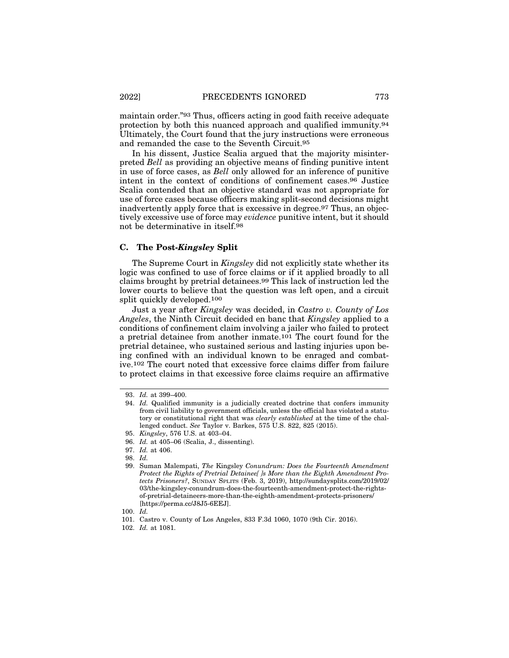maintain order."93 Thus, officers acting in good faith receive adequate protection by both this nuanced approach and qualified immunity.94 Ultimately, the Court found that the jury instructions were erroneous and remanded the case to the Seventh Circuit.95

In his dissent, Justice Scalia argued that the majority misinterpreted *Bell* as providing an objective means of finding punitive intent in use of force cases, as *Bell* only allowed for an inference of punitive intent in the context of conditions of confinement cases.96 Justice Scalia contended that an objective standard was not appropriate for use of force cases because officers making split-second decisions might inadvertently apply force that is excessive in degree.97 Thus, an objectively excessive use of force may *evidence* punitive intent, but it should not be determinative in itself.98

#### **C. The Post-***Kingsley* **Split**

The Supreme Court in *Kingsley* did not explicitly state whether its logic was confined to use of force claims or if it applied broadly to all claims brought by pretrial detainees.99 This lack of instruction led the lower courts to believe that the question was left open, and a circuit split quickly developed.100

Just a year after *Kingsley* was decided, in *Castro v. County of Los Angeles*, the Ninth Circuit decided en banc that *Kingsley* applied to a conditions of confinement claim involving a jailer who failed to protect a pretrial detainee from another inmate.101 The court found for the pretrial detainee, who sustained serious and lasting injuries upon being confined with an individual known to be enraged and combative.102 The court noted that excessive force claims differ from failure to protect claims in that excessive force claims require an affirmative

<sup>93.</sup> *Id.* at 399–400.

<sup>94.</sup> *Id.* Qualified immunity is a judicially created doctrine that confers immunity from civil liability to government officials, unless the official has violated a statutory or constitutional right that was *clearly established* at the time of the challenged conduct. *See* Taylor v. Barkes, 575 U.S. 822, 825 (2015).

<sup>95.</sup> *Kingsley*, 576 U.S. at 403–04.

<sup>96.</sup> *Id.* at 405–06 (Scalia, J., dissenting).

<sup>97.</sup> *Id.* at 406.

<sup>98.</sup> *Id.*

<sup>99.</sup> Suman Malempati, *The* Kingsley *Conundrum: Does the Fourteenth Amendment Protect the Rights of Pretrial Detainee[ ]s More than the Eighth Amendment Protects Prisoners?*, SUNDAY SPLITS (Feb. 3, 2019), http://sundaysplits.com/2019/02/ 03/the-kingsley-conundrum-does-the-fourteenth-amendment-protect-the-rightsof-pretrial-detaineers-more-than-the-eighth-amendment-protects-prisoners/ [https://perma.cc/J8J5-6EEJ].

<sup>100.</sup> *Id.*

<sup>101.</sup> Castro v. County of Los Angeles, 833 F.3d 1060, 1070 (9th Cir. 2016).

<sup>102.</sup> *Id.* at 1081.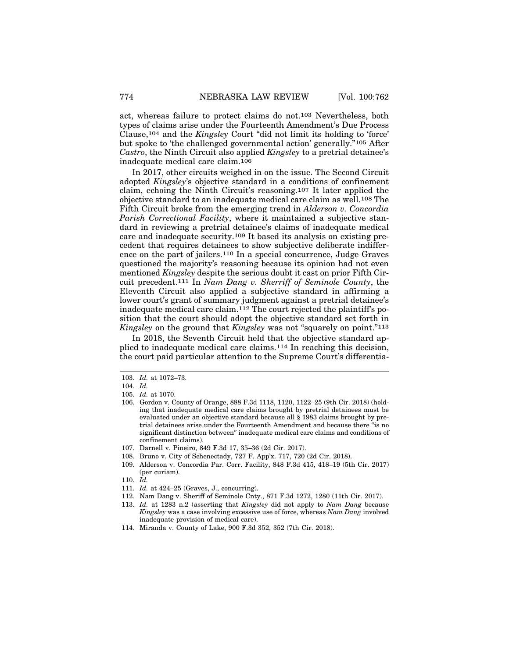act, whereas failure to protect claims do not.103 Nevertheless, both types of claims arise under the Fourteenth Amendment's Due Process Clause,104 and the *Kingsley* Court "did not limit its holding to 'force' but spoke to 'the challenged governmental action' generally."105 After *Castro*, the Ninth Circuit also applied *Kingsley* to a pretrial detainee's inadequate medical care claim.106

In 2017, other circuits weighed in on the issue. The Second Circuit adopted *Kingsley*'s objective standard in a conditions of confinement claim, echoing the Ninth Circuit's reasoning.107 It later applied the objective standard to an inadequate medical care claim as well.108 The Fifth Circuit broke from the emerging trend in *Alderson v. Concordia Parish Correctional Facility*, where it maintained a subjective standard in reviewing a pretrial detainee's claims of inadequate medical care and inadequate security.109 It based its analysis on existing precedent that requires detainees to show subjective deliberate indifference on the part of jailers.110 In a special concurrence, Judge Graves questioned the majority's reasoning because its opinion had not even mentioned *Kingsley* despite the serious doubt it cast on prior Fifth Circuit precedent.111 In *Nam Dang v. Sherriff of Seminole County*, the Eleventh Circuit also applied a subjective standard in affirming a lower court's grant of summary judgment against a pretrial detainee's inadequate medical care claim.112 The court rejected the plaintiff's position that the court should adopt the objective standard set forth in *Kingsley* on the ground that *Kingsley* was not "squarely on point."113

In 2018, the Seventh Circuit held that the objective standard applied to inadequate medical care claims.114 In reaching this decision, the court paid particular attention to the Supreme Court's differentia-

- 108. Bruno v. City of Schenectady, 727 F. App'x. 717, 720 (2d Cir. 2018).
- 109. Alderson v. Concordia Par. Corr. Facility, 848 F.3d 415, 418–19 (5th Cir. 2017) (per curiam).
- 110. *Id.*
- 111. *Id.* at 424–25 (Graves, J., concurring).
- 112. Nam Dang v. Sheriff of Seminole Cnty., 871 F.3d 1272, 1280 (11th Cir. 2017).
- 113. *Id.* at 1283 n.2 (asserting that *Kingsley* did not apply to *Nam Dang* because *Kingsley* was a case involving excessive use of force, whereas *Nam Dang* involved inadequate provision of medical care).
- 114. Miranda v. County of Lake, 900 F.3d 352, 352 (7th Cir. 2018).

<sup>103.</sup> *Id.* at 1072–73.

<sup>104.</sup> *Id.*

<sup>105.</sup> *Id.* at 1070.

<sup>106.</sup> Gordon v. County of Orange, 888 F.3d 1118, 1120, 1122–25 (9th Cir. 2018) (holding that inadequate medical care claims brought by pretrial detainees must be evaluated under an objective standard because all § 1983 claims brought by pretrial detainees arise under the Fourteenth Amendment and because there "is no significant distinction between" inadequate medical care claims and conditions of confinement claims).

<sup>107.</sup> Darnell v. Pineiro, 849 F.3d 17, 35–36 (2d Cir. 2017).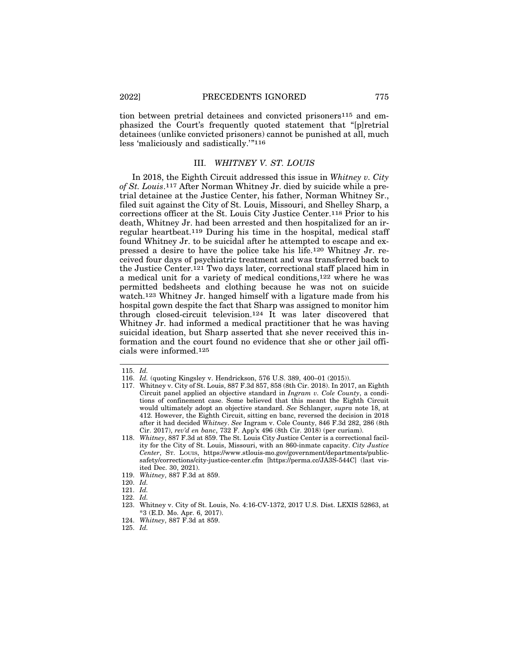tion between pretrial detainees and convicted prisoners115 and emphasized the Court's frequently quoted statement that "[p]retrial detainees (unlike convicted prisoners) cannot be punished at all, much less 'maliciously and sadistically.'"116

## III. *WHITNEY V. ST. LOUIS*

In 2018, the Eighth Circuit addressed this issue in *Whitney v. City of St. Louis*.117 After Norman Whitney Jr. died by suicide while a pretrial detainee at the Justice Center, his father, Norman Whitney Sr., filed suit against the City of St. Louis, Missouri, and Shelley Sharp, a corrections officer at the St. Louis City Justice Center.118 Prior to his death, Whitney Jr. had been arrested and then hospitalized for an irregular heartbeat.119 During his time in the hospital, medical staff found Whitney Jr. to be suicidal after he attempted to escape and expressed a desire to have the police take his life.120 Whitney Jr. received four days of psychiatric treatment and was transferred back to the Justice Center.121 Two days later, correctional staff placed him in a medical unit for a variety of medical conditions,122 where he was permitted bedsheets and clothing because he was not on suicide watch.123 Whitney Jr. hanged himself with a ligature made from his hospital gown despite the fact that Sharp was assigned to monitor him through closed-circuit television.124 It was later discovered that Whitney Jr. had informed a medical practitioner that he was having suicidal ideation, but Sharp asserted that she never received this information and the court found no evidence that she or other jail officials were informed.125

<sup>115.</sup> *Id.*

<sup>116.</sup> *Id.* (quoting Kingsley v. Hendrickson, 576 U.S. 389, 400–01 (2015)).

<sup>117.</sup> Whitney v. City of St. Louis, 887 F.3d 857, 858 (8th Cir. 2018). In 2017, an Eighth Circuit panel applied an objective standard in *Ingram v. Cole County*, a conditions of confinement case. Some believed that this meant the Eighth Circuit would ultimately adopt an objective standard. *See* Schlanger, *supra* note 18, at 412. However, the Eighth Circuit, sitting en banc, reversed the decision in 2018 after it had decided *Whitney*. *See* Ingram v. Cole County, 846 F.3d 282, 286 (8th Cir. 2017), *rev'd en banc*, 732 F. App'x 496 (8th Cir. 2018) (per curiam).

<sup>118.</sup> *Whitney*, 887 F.3d at 859. The St. Louis City Justice Center is a correctional facility for the City of St. Louis, Missouri, with an 860-inmate capacity. *City Justice Center*, ST. LOUIS, https://www.stlouis-mo.gov/government/departments/publicsafety/corrections/city-justice-center.cfm [https://perma.cc/JA3S-544C] (last visited Dec. 30, 2021).

<sup>119.</sup> *Whitney*, 887 F.3d at 859.

<sup>120.</sup> *Id.*

<sup>121.</sup> *Id.*

<sup>122.</sup> *Id.*

<sup>123.</sup> Whitney v. City of St. Louis, No. 4:16-CV-1372, 2017 U.S. Dist. LEXIS 52863, at \*3 (E.D. Mo. Apr. 6, 2017).

<sup>124.</sup> *Whitney*, 887 F.3d at 859.

<sup>125.</sup> *Id.*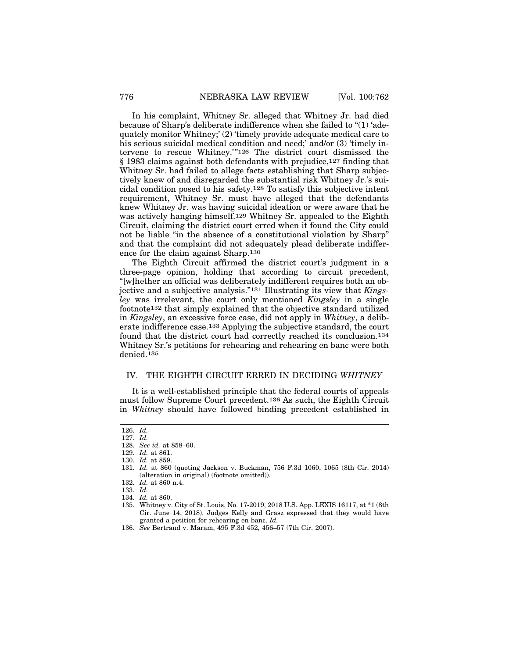In his complaint, Whitney Sr. alleged that Whitney Jr. had died because of Sharp's deliberate indifference when she failed to "(1) 'adequately monitor Whitney;' (2) 'timely provide adequate medical care to his serious suicidal medical condition and need;' and/or (3) 'timely intervene to rescue Whitney.'"126 The district court dismissed the § 1983 claims against both defendants with prejudice,127 finding that Whitney Sr. had failed to allege facts establishing that Sharp subjectively knew of and disregarded the substantial risk Whitney Jr.'s suicidal condition posed to his safety.128 To satisfy this subjective intent requirement, Whitney Sr. must have alleged that the defendants knew Whitney Jr. was having suicidal ideation or were aware that he was actively hanging himself.129 Whitney Sr. appealed to the Eighth Circuit, claiming the district court erred when it found the City could not be liable "in the absence of a constitutional violation by Sharp" and that the complaint did not adequately plead deliberate indifference for the claim against Sharp.130

The Eighth Circuit affirmed the district court's judgment in a three-page opinion, holding that according to circuit precedent, "[w]hether an official was deliberately indifferent requires both an objective and a subjective analysis."131 Illustrating its view that *Kingsley* was irrelevant, the court only mentioned *Kingsley* in a single footnote132 that simply explained that the objective standard utilized in *Kingsley*, an excessive force case, did not apply in *Whitney*, a deliberate indifference case.133 Applying the subjective standard, the court found that the district court had correctly reached its conclusion.134 Whitney Sr.'s petitions for rehearing and rehearing en banc were both denied.135

## IV. THE EIGHTH CIRCUIT ERRED IN DECIDING *WHITNEY*

It is a well-established principle that the federal courts of appeals must follow Supreme Court precedent.136 As such, the Eighth Circuit in *Whitney* should have followed binding precedent established in

<sup>126.</sup> *Id.*

<sup>127.</sup> *Id.*

<sup>128.</sup> *See id.* at 858–60.

<sup>129.</sup> *Id.* at 861.

<sup>130.</sup> *Id.* at 859.

<sup>131.</sup> *Id.* at 860 (quoting Jackson v. Buckman, 756 F.3d 1060, 1065 (8th Cir. 2014) (alteration in original) (footnote omitted)).

<sup>132.</sup> *Id.* at 860 n.4.

<sup>133.</sup> *Id.*

<sup>134.</sup> *Id.* at 860.

<sup>135.</sup> Whitney v. City of St. Louis, No. 17-2019, 2018 U.S. App. LEXIS 16117, at \*1 (8th Cir. June 14, 2018). Judges Kelly and Grasz expressed that they would have granted a petition for rehearing en banc. *Id.*

<sup>136.</sup> *See* Bertrand v. Maram, 495 F.3d 452, 456–57 (7th Cir. 2007).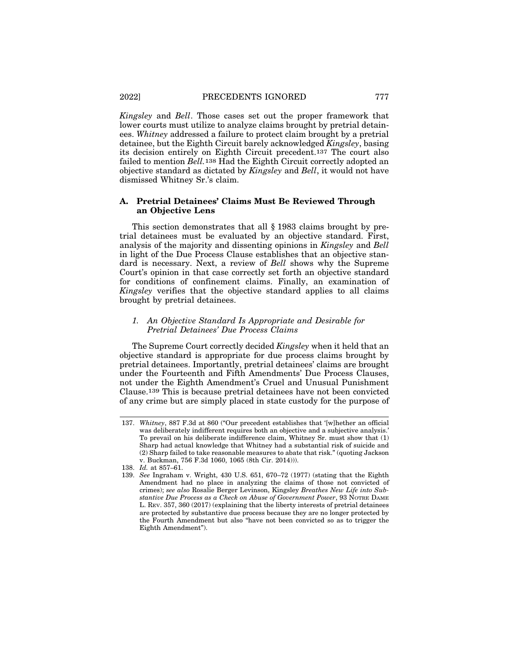*Kingsley* and *Bell*. Those cases set out the proper framework that lower courts must utilize to analyze claims brought by pretrial detainees. *Whitney* addressed a failure to protect claim brought by a pretrial detainee, but the Eighth Circuit barely acknowledged *Kingsley*, basing its decision entirely on Eighth Circuit precedent.137 The court also failed to mention *Bell.*138 Had the Eighth Circuit correctly adopted an objective standard as dictated by *Kingsley* and *Bell*, it would not have dismissed Whitney Sr.'s claim.

## **A. Pretrial Detainees' Claims Must Be Reviewed Through an Objective Lens**

This section demonstrates that all § 1983 claims brought by pretrial detainees must be evaluated by an objective standard. First, analysis of the majority and dissenting opinions in *Kingsley* and *Bell* in light of the Due Process Clause establishes that an objective standard is necessary. Next, a review of *Bell* shows why the Supreme Court's opinion in that case correctly set forth an objective standard for conditions of confinement claims. Finally, an examination of *Kingsley* verifies that the objective standard applies to all claims brought by pretrial detainees.

# *1. An Objective Standard Is Appropriate and Desirable for Pretrial Detainees' Due Process Claims*

The Supreme Court correctly decided *Kingsley* when it held that an objective standard is appropriate for due process claims brought by pretrial detainees. Importantly, pretrial detainees' claims are brought under the Fourteenth and Fifth Amendments' Due Process Clauses, not under the Eighth Amendment's Cruel and Unusual Punishment Clause.139 This is because pretrial detainees have not been convicted of any crime but are simply placed in state custody for the purpose of

<sup>137.</sup> *Whitney*, 887 F.3d at 860 ("Our precedent establishes that '[w]hether an official was deliberately indifferent requires both an objective and a subjective analysis.' To prevail on his deliberate indifference claim, Whitney Sr. must show that (1) Sharp had actual knowledge that Whitney had a substantial risk of suicide and (2) Sharp failed to take reasonable measures to abate that risk." (quoting Jackson v. Buckman, 756 F.3d 1060, 1065 (8th Cir. 2014))).

<sup>138.</sup> *Id.* at 857–61.

<sup>139.</sup> *See* Ingraham v. Wright, 430 U.S. 651, 670–72 (1977) (stating that the Eighth Amendment had no place in analyzing the claims of those not convicted of crimes); *see also* Rosalie Berger Levinson, Kingsley *Breathes New Life into Substantive Due Process as a Check on Abuse of Government Power*, 93 NOTRE DAME L. REV. 357, 360 (2017) (explaining that the liberty interests of pretrial detainees are protected by substantive due process because they are no longer protected by the Fourth Amendment but also "have not been convicted so as to trigger the Eighth Amendment").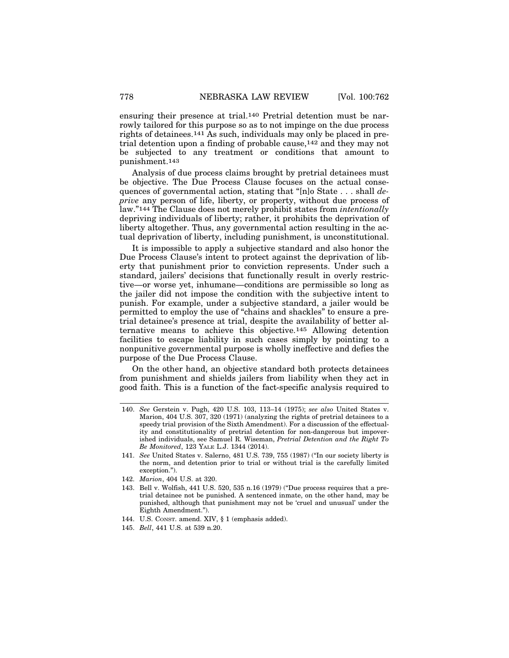ensuring their presence at trial.140 Pretrial detention must be narrowly tailored for this purpose so as to not impinge on the due process rights of detainees.141 As such, individuals may only be placed in pretrial detention upon a finding of probable cause,142 and they may not be subjected to any treatment or conditions that amount to punishment.143

Analysis of due process claims brought by pretrial detainees must be objective. The Due Process Clause focuses on the actual consequences of governmental action, stating that "[n]o State . . . shall *deprive* any person of life, liberty, or property, without due process of law."144 The Clause does not merely prohibit states from *intentionally* depriving individuals of liberty; rather, it prohibits the deprivation of liberty altogether. Thus, any governmental action resulting in the actual deprivation of liberty, including punishment, is unconstitutional.

It is impossible to apply a subjective standard and also honor the Due Process Clause's intent to protect against the deprivation of liberty that punishment prior to conviction represents. Under such a standard, jailers' decisions that functionally result in overly restrictive—or worse yet, inhumane—conditions are permissible so long as the jailer did not impose the condition with the subjective intent to punish. For example, under a subjective standard, a jailer would be permitted to employ the use of "chains and shackles" to ensure a pretrial detainee's presence at trial, despite the availability of better alternative means to achieve this objective.145 Allowing detention facilities to escape liability in such cases simply by pointing to a nonpunitive governmental purpose is wholly ineffective and defies the purpose of the Due Process Clause.

On the other hand, an objective standard both protects detainees from punishment and shields jailers from liability when they act in good faith. This is a function of the fact-specific analysis required to

<sup>140.</sup> *See* Gerstein v. Pugh, 420 U.S. 103, 113–14 (1975); *see also* United States v. Marion, 404 U.S. 307, 320 (1971) (analyzing the rights of pretrial detainees to a speedy trial provision of the Sixth Amendment). For a discussion of the effectuality and constitutionality of pretrial detention for non-dangerous but impoverished individuals, see Samuel R. Wiseman, *Pretrial Detention and the Right To Be Monitored*, 123 YALE L.J. 1344 (2014).

<sup>141.</sup> *See* United States v. Salerno, 481 U.S. 739, 755 (1987) ("In our society liberty is the norm, and detention prior to trial or without trial is the carefully limited exception.").

<sup>142.</sup> *Marion*, 404 U.S. at 320.

<sup>143.</sup> Bell v. Wolfish, 441 U.S. 520, 535 n.16 (1979) ("Due process requires that a pretrial detainee not be punished. A sentenced inmate, on the other hand, may be punished, although that punishment may not be 'cruel and unusual' under the Eighth Amendment.").

<sup>144.</sup> U.S. CONST. amend. XIV, § 1 (emphasis added).

<sup>145.</sup> *Bell*, 441 U.S. at 539 n.20.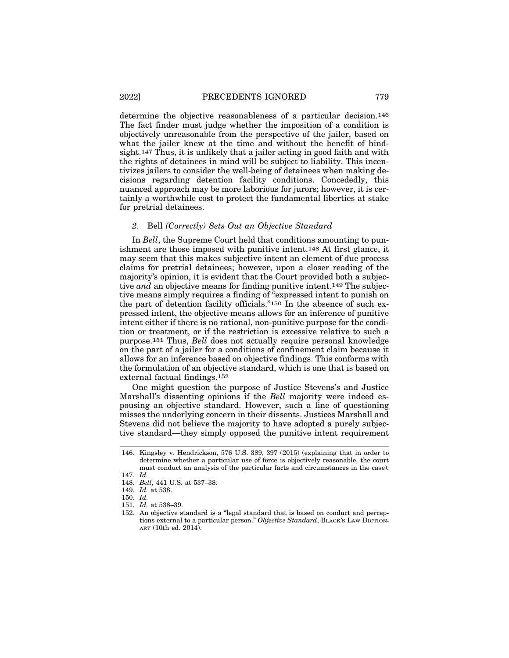determine the objective reasonableness of a particular decision.146 The fact finder must judge whether the imposition of a condition is objectively unreasonable from the perspective of the jailer, based on what the jailer knew at the time and without the benefit of hindsight.147 Thus, it is unlikely that a jailer acting in good faith and with the rights of detainees in mind will be subject to liability. This incentivizes jailers to consider the well-being of detainees when making decisions regarding detention facility conditions. Concededly, this nuanced approach may be more laborious for jurors; however, it is certainly a worthwhile cost to protect the fundamental liberties at stake for pretrial detainees.

#### *2.* Bell *(Correctly) Sets Out an Objective Standard*

In *Bell*, the Supreme Court held that conditions amounting to punishment are those imposed with punitive intent.148 At first glance, it may seem that this makes subjective intent an element of due process claims for pretrial detainees; however, upon a closer reading of the majority's opinion, it is evident that the Court provided both a subjective *and* an objective means for finding punitive intent.149 The subjective means simply requires a finding of "expressed intent to punish on the part of detention facility officials."150 In the absence of such expressed intent, the objective means allows for an inference of punitive intent either if there is no rational, non-punitive purpose for the condition or treatment, or if the restriction is excessive relative to such a purpose.151 Thus, *Bell* does not actually require personal knowledge on the part of a jailer for a conditions of confinement claim because it allows for an inference based on objective findings. This conforms with the formulation of an objective standard, which is one that is based on external factual findings.152

One might question the purpose of Justice Stevens's and Justice Marshall's dissenting opinions if the *Bell* majority were indeed espousing an objective standard. However, such a line of questioning misses the underlying concern in their dissents. Justices Marshall and Stevens did not believe the majority to have adopted a purely subjective standard—they simply opposed the punitive intent requirement

<sup>146.</sup> Kingsley v. Hendrickson, 576 U.S. 389, 397 (2015) (explaining that in order to determine whether a particular use of force is objectively reasonable, the court must conduct an analysis of the particular facts and circumstances in the case).

<sup>147.</sup> *Id.*

<sup>148.</sup> *Bell*, 441 U.S. at 537–38.

<sup>149.</sup> *Id.* at 538.

<sup>150.</sup> *Id.*

<sup>151.</sup> *Id.* at 538–39.

<sup>152.</sup> An objective standard is a "legal standard that is based on conduct and perceptions external to a particular person." *Objective Standard*, BLACK'S LAW DICTION-ARY (10th ed. 2014).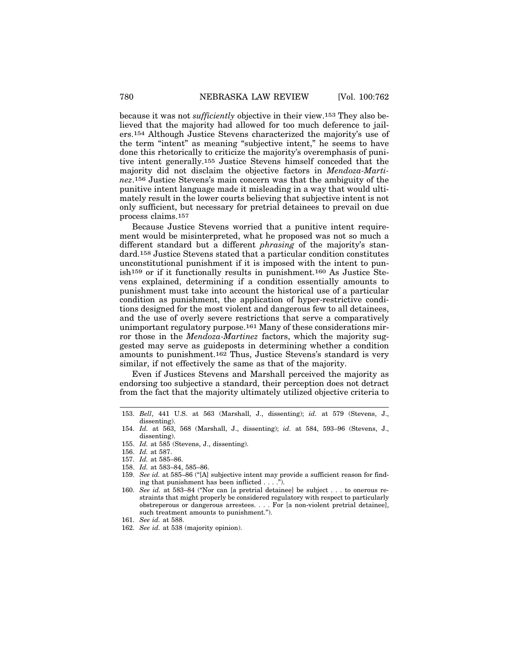because it was not *sufficiently* objective in their view.153 They also believed that the majority had allowed for too much deference to jailers.154 Although Justice Stevens characterized the majority's use of the term "intent" as meaning "subjective intent," he seems to have done this rhetorically to criticize the majority's overemphasis of punitive intent generally.155 Justice Stevens himself conceded that the majority did not disclaim the objective factors in *Mendoza-Martinez*.156 Justice Stevens's main concern was that the ambiguity of the punitive intent language made it misleading in a way that would ultimately result in the lower courts believing that subjective intent is not only sufficient, but necessary for pretrial detainees to prevail on due process claims.157

Because Justice Stevens worried that a punitive intent requirement would be misinterpreted, what he proposed was not so much a different standard but a different *phrasing* of the majority's standard.158 Justice Stevens stated that a particular condition constitutes unconstitutional punishment if it is imposed with the intent to punish159 or if it functionally results in punishment.160 As Justice Stevens explained, determining if a condition essentially amounts to punishment must take into account the historical use of a particular condition as punishment, the application of hyper-restrictive conditions designed for the most violent and dangerous few to all detainees, and the use of overly severe restrictions that serve a comparatively unimportant regulatory purpose.161 Many of these considerations mirror those in the *Mendoza-Martinez* factors, which the majority suggested may serve as guideposts in determining whether a condition amounts to punishment.162 Thus, Justice Stevens's standard is very similar, if not effectively the same as that of the majority.

Even if Justices Stevens and Marshall perceived the majority as endorsing too subjective a standard, their perception does not detract from the fact that the majority ultimately utilized objective criteria to

<sup>153.</sup> *Bell*, 441 U.S. at 563 (Marshall, J., dissenting); *id.* at 579 (Stevens, J., dissenting).

<sup>154.</sup> *Id.* at 563, 568 (Marshall, J., dissenting); *id.* at 584, 593–96 (Stevens, J., dissenting).

<sup>155.</sup> *Id.* at 585 (Stevens, J., dissenting).

<sup>156.</sup> *Id.* at 587.

<sup>157.</sup> *Id.* at 585–86.

<sup>158.</sup> *Id.* at 583–84, 585–86.

<sup>159.</sup> *See id.* at 585–86 ("[A] subjective intent may provide a sufficient reason for finding that punishment has been inflicted . . . .").

<sup>160.</sup> *See id.* at 583–84 ("Nor can [a pretrial detainee] be subject . . . to onerous restraints that might properly be considered regulatory with respect to particularly obstreperous or dangerous arrestees. . . . For [a non-violent pretrial detainee], such treatment amounts to punishment.").

<sup>161.</sup> *See id.* at 588.

<sup>162.</sup> *See id.* at 538 (majority opinion).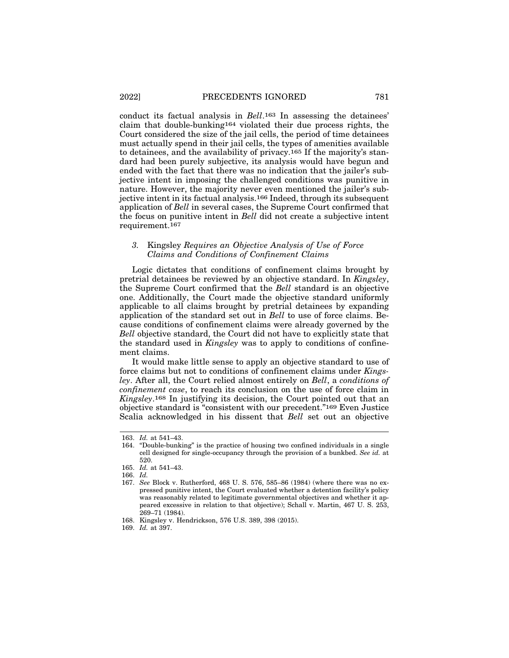conduct its factual analysis in *Bell*.163 In assessing the detainees' claim that double-bunking164 violated their due process rights, the Court considered the size of the jail cells, the period of time detainees must actually spend in their jail cells, the types of amenities available to detainees, and the availability of privacy.165 If the majority's standard had been purely subjective, its analysis would have begun and ended with the fact that there was no indication that the jailer's subjective intent in imposing the challenged conditions was punitive in nature. However, the majority never even mentioned the jailer's subjective intent in its factual analysis.166 Indeed, through its subsequent application of *Bell* in several cases, the Supreme Court confirmed that the focus on punitive intent in *Bell* did not create a subjective intent requirement.167

## *3.* Kingsley *Requires an Objective Analysis of Use of Force Claims and Conditions of Confinement Claims*

Logic dictates that conditions of confinement claims brought by pretrial detainees be reviewed by an objective standard. In *Kingsley*, the Supreme Court confirmed that the *Bell* standard is an objective one. Additionally, the Court made the objective standard uniformly applicable to all claims brought by pretrial detainees by expanding application of the standard set out in *Bell* to use of force claims. Because conditions of confinement claims were already governed by the *Bell* objective standard, the Court did not have to explicitly state that the standard used in *Kingsley* was to apply to conditions of confinement claims.

It would make little sense to apply an objective standard to use of force claims but not to conditions of confinement claims under *Kingsley*. After all, the Court relied almost entirely on *Bell*, a *conditions of confinement case*, to reach its conclusion on the use of force claim in *Kingsley*.168 In justifying its decision, the Court pointed out that an objective standard is "consistent with our precedent."169 Even Justice Scalia acknowledged in his dissent that *Bell* set out an objective

<sup>163.</sup> *Id.* at 541–43.

<sup>164. &</sup>quot;Double-bunking" is the practice of housing two confined individuals in a single cell designed for single-occupancy through the provision of a bunkbed. *See id.* at 520.

<sup>165.</sup> *Id.* at 541–43.

<sup>166.</sup> *Id.*

<sup>167.</sup> *See* Block v. Rutherford, 468 U. S. 576, 585–86 (1984) (where there was no expressed punitive intent, the Court evaluated whether a detention facility's policy was reasonably related to legitimate governmental objectives and whether it appeared excessive in relation to that objective); Schall v. Martin, 467 U. S. 253, 269–71 (1984).

<sup>168.</sup> Kingsley v. Hendrickson, 576 U.S. 389, 398 (2015).

<sup>169.</sup> *Id.* at 397.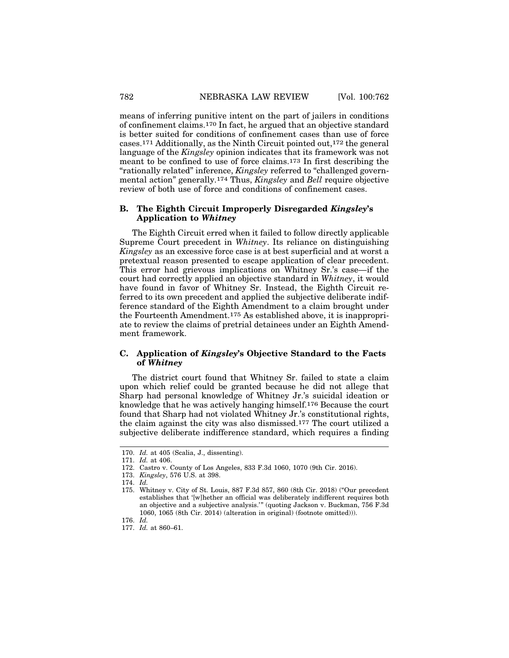means of inferring punitive intent on the part of jailers in conditions of confinement claims.170 In fact, he argued that an objective standard is better suited for conditions of confinement cases than use of force cases.171 Additionally, as the Ninth Circuit pointed out,172 the general language of the *Kingsley* opinion indicates that its framework was not meant to be confined to use of force claims.173 In first describing the "rationally related" inference, *Kingsley* referred to "challenged governmental action" generally.174 Thus, *Kingsley* and *Bell* require objective review of both use of force and conditions of confinement cases.

## **B. The Eighth Circuit Improperly Disregarded** *Kingsley***'s Application to** *Whitney*

The Eighth Circuit erred when it failed to follow directly applicable Supreme Court precedent in *Whitney*. Its reliance on distinguishing *Kingsley* as an excessive force case is at best superficial and at worst a pretextual reason presented to escape application of clear precedent. This error had grievous implications on Whitney Sr.'s case—if the court had correctly applied an objective standard in *Whitney*, it would have found in favor of Whitney Sr. Instead, the Eighth Circuit referred to its own precedent and applied the subjective deliberate indifference standard of the Eighth Amendment to a claim brought under the Fourteenth Amendment.175 As established above, it is inappropriate to review the claims of pretrial detainees under an Eighth Amendment framework.

# **C. Application of** *Kingsley***'s Objective Standard to the Facts of** *Whitney*

The district court found that Whitney Sr. failed to state a claim upon which relief could be granted because he did not allege that Sharp had personal knowledge of Whitney Jr.'s suicidal ideation or knowledge that he was actively hanging himself.176 Because the court found that Sharp had not violated Whitney Jr.'s constitutional rights, the claim against the city was also dismissed.177 The court utilized a subjective deliberate indifference standard, which requires a finding

<sup>170.</sup> *Id.* at 405 (Scalia, J., dissenting).

<sup>171.</sup> *Id.* at 406.

<sup>172.</sup> Castro v. County of Los Angeles, 833 F.3d 1060, 1070 (9th Cir. 2016).

<sup>173.</sup> *Kingsley*, 576 U.S. at 398.

<sup>174.</sup> *Id.*

<sup>175.</sup> Whitney v. City of St. Louis, 887 F.3d 857, 860 (8th Cir. 2018) ("Our precedent establishes that '[w]hether an official was deliberately indifferent requires both an objective and a subjective analysis.'" (quoting Jackson v. Buckman, 756 F.3d 1060, 1065 (8th Cir. 2014) (alteration in original) (footnote omitted))).

<sup>176.</sup> *Id.*

<sup>177.</sup> *Id.* at 860–61.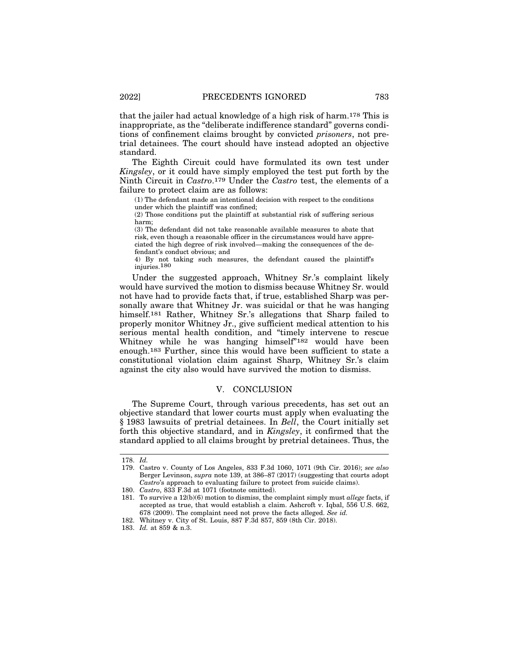that the jailer had actual knowledge of a high risk of harm.178 This is inappropriate, as the "deliberate indifference standard" governs conditions of confinement claims brought by convicted *prisoners*, not pretrial detainees. The court should have instead adopted an objective standard.

The Eighth Circuit could have formulated its own test under *Kingsley*, or it could have simply employed the test put forth by the Ninth Circuit in *Castro*.179 Under the *Castro* test, the elements of a failure to protect claim are as follows:

(1) The defendant made an intentional decision with respect to the conditions under which the plaintiff was confined;

(2) Those conditions put the plaintiff at substantial risk of suffering serious harm;

(3) The defendant did not take reasonable available measures to abate that risk, even though a reasonable officer in the circumstances would have appreciated the high degree of risk involved—making the consequences of the defendant's conduct obvious; and

4) By not taking such measures, the defendant caused the plaintiff's injuries.180

Under the suggested approach, Whitney Sr.'s complaint likely would have survived the motion to dismiss because Whitney Sr. would not have had to provide facts that, if true, established Sharp was personally aware that Whitney Jr. was suicidal or that he was hanging himself.181 Rather, Whitney Sr.'s allegations that Sharp failed to properly monitor Whitney Jr., give sufficient medical attention to his serious mental health condition, and "timely intervene to rescue Whitney while he was hanging himself"182 would have been enough.183 Further, since this would have been sufficient to state a constitutional violation claim against Sharp, Whitney Sr.'s claim against the city also would have survived the motion to dismiss.

# V. CONCLUSION

The Supreme Court, through various precedents, has set out an objective standard that lower courts must apply when evaluating the § 1983 lawsuits of pretrial detainees. In *Bell*, the Court initially set forth this objective standard, and in *Kingsley*, it confirmed that the standard applied to all claims brought by pretrial detainees. Thus, the

<sup>178.</sup> *Id.*

<sup>179.</sup> Castro v. County of Los Angeles, 833 F.3d 1060, 1071 (9th Cir. 2016); *see also* Berger Levinson, *supra* note 139, at 386–87 (2017) (suggesting that courts adopt *Castro*'s approach to evaluating failure to protect from suicide claims).

<sup>180.</sup> *Castro*, 833 F.3d at 1071 (footnote omitted).

<sup>181.</sup> To survive a 12(b)(6) motion to dismiss, the complaint simply must *allege* facts, if accepted as true, that would establish a claim. Ashcroft v. Iqbal, 556 U.S. 662, 678 (2009). The complaint need not prove the facts alleged. *See id.*

<sup>182.</sup> Whitney v. City of St. Louis, 887 F.3d 857, 859 (8th Cir. 2018).

<sup>183.</sup> *Id.* at 859 & n.3.